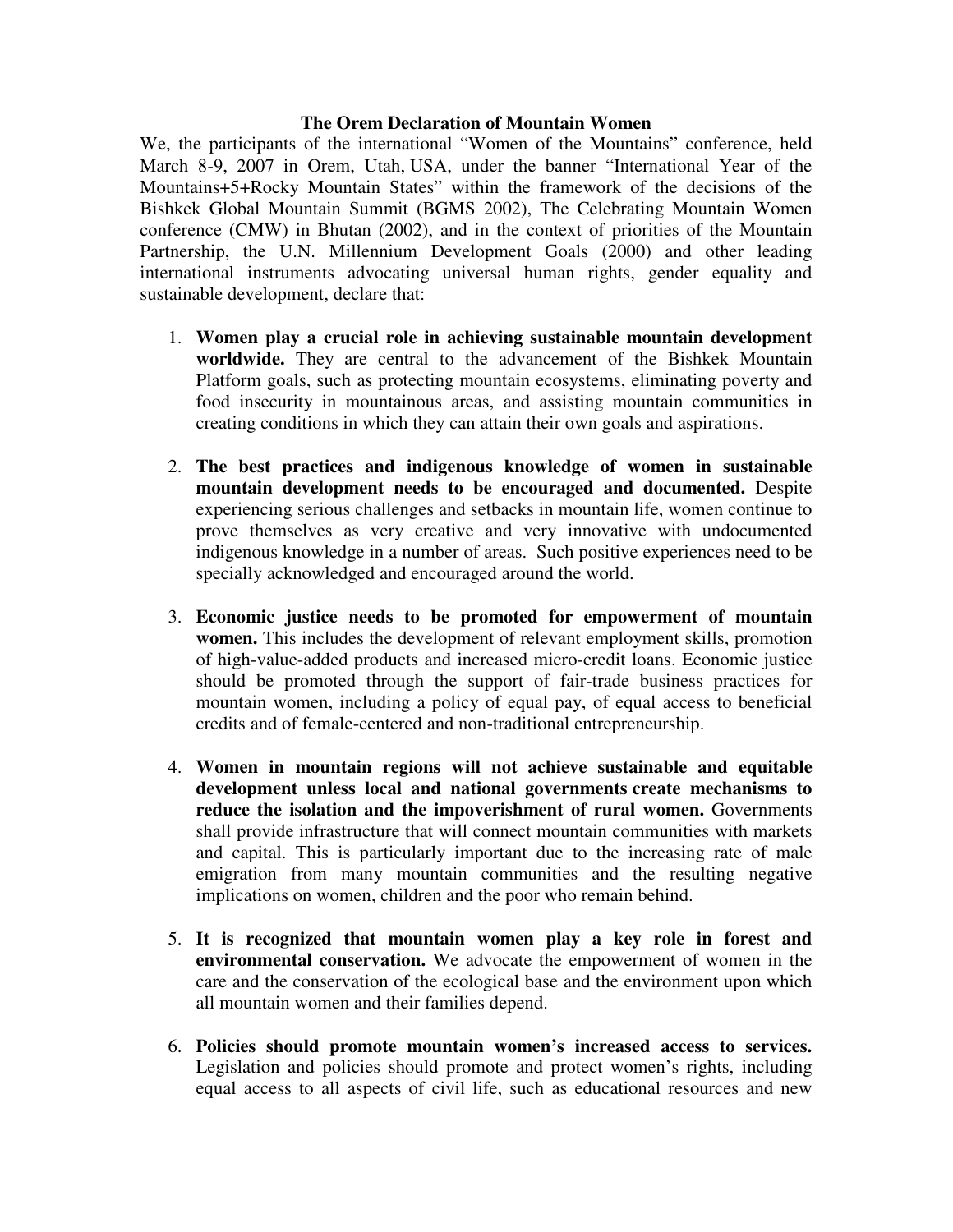## **The Orem Declaration of Mountain Women**

We, the participants of the international "Women of the Mountains" conference, held March 8-9, 2007 in Orem, Utah, USA, under the banner "International Year of the Mountains+5+Rocky Mountain States" within the framework of the decisions of the Bishkek Global Mountain Summit (BGMS 2002), The Celebrating Mountain Women conference (CMW) in Bhutan (2002), and in the context of priorities of the Mountain Partnership, the U.N. Millennium Development Goals (2000) and other leading international instruments advocating universal human rights, gender equality and sustainable development, declare that:

- 1. **Women play a crucial role in achieving sustainable mountain development worldwide.** They are central to the advancement of the Bishkek Mountain Platform goals, such as protecting mountain ecosystems, eliminating poverty and food insecurity in mountainous areas, and assisting mountain communities in creating conditions in which they can attain their own goals and aspirations.
- 2. **The best practices and indigenous knowledge of women in sustainable mountain development needs to be encouraged and documented.** Despite experiencing serious challenges and setbacks in mountain life, women continue to prove themselves as very creative and very innovative with undocumented indigenous knowledge in a number of areas. Such positive experiences need to be specially acknowledged and encouraged around the world.
- 3. **Economic justice needs to be promoted for empowerment of mountain women.** This includes the development of relevant employment skills, promotion of high-value-added products and increased micro-credit loans. Economic justice should be promoted through the support of fair-trade business practices for mountain women, including a policy of equal pay, of equal access to beneficial credits and of female-centered and non-traditional entrepreneurship.
- 4. **Women in mountain regions will not achieve sustainable and equitable development unless local and national governments create mechanisms to**  reduce the isolation and the impoverishment of rural women. Governments shall provide infrastructure that will connect mountain communities with markets and capital. This is particularly important due to the increasing rate of male emigration from many mountain communities and the resulting negative implications on women, children and the poor who remain behind.
- 5. **It is recognized that mountain women play a key role in forest and environmental conservation.** We advocate the empowerment of women in the care and the conservation of the ecological base and the environment upon which all mountain women and their families depend.
- 6. **Policies should promote mountain women's increased access to services.** Legislation and policies should promote and protect women's rights, including equal access to all aspects of civil life, such as educational resources and new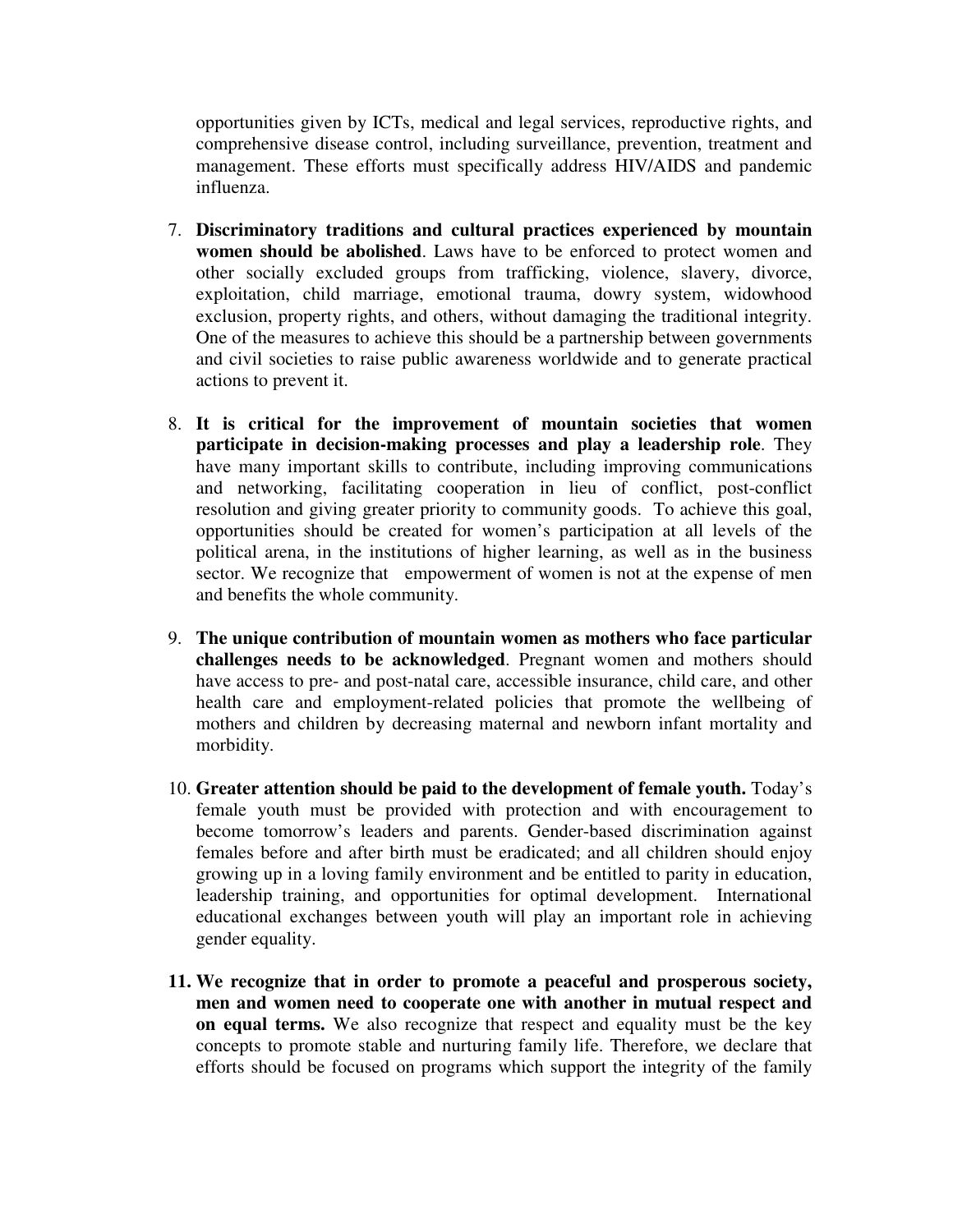opportunities given by ICTs, medical and legal services, reproductive rights, and comprehensive disease control, including surveillance, prevention, treatment and management. These efforts must specifically address HIV/AIDS and pandemic influenza.

- 7. **Discriminatory traditions and cultural practices experienced by mountain women should be abolished**. Laws have to be enforced to protect women and other socially excluded groups from trafficking, violence, slavery, divorce, exploitation, child marriage, emotional trauma, dowry system, widowhood exclusion, property rights, and others, without damaging the traditional integrity. One of the measures to achieve this should be a partnership between governments and civil societies to raise public awareness worldwide and to generate practical actions to prevent it.
- 8. **It is critical for the improvement of mountain societies that women participate in decision-making processes and play a leadership role**. They have many important skills to contribute, including improving communications and networking, facilitating cooperation in lieu of conflict, post-conflict resolution and giving greater priority to community goods. To achieve this goal, opportunities should be created for women's participation at all levels of the political arena, in the institutions of higher learning, as well as in the business sector. We recognize that empowerment of women is not at the expense of men and benefits the whole community.
- 9. **The unique contribution of mountain women as mothers who face particular challenges needs to be acknowledged**. Pregnant women and mothers should have access to pre- and post-natal care, accessible insurance, child care, and other health care and employment-related policies that promote the wellbeing of mothers and children by decreasing maternal and newborn infant mortality and morbidity.
- 10. **Greater attention should be paid to the development of female youth.** Today's female youth must be provided with protection and with encouragement to become tomorrow's leaders and parents. Gender-based discrimination against females before and after birth must be eradicated; and all children should enjoy growing up in a loving family environment and be entitled to parity in education, leadership training, and opportunities for optimal development. International educational exchanges between youth will play an important role in achieving gender equality.
- **11. We recognize that in order to promote a peaceful and prosperous society, men and women need to cooperate one with another in mutual respect and on equal terms.** We also recognize that respect and equality must be the key concepts to promote stable and nurturing family life. Therefore, we declare that efforts should be focused on programs which support the integrity of the family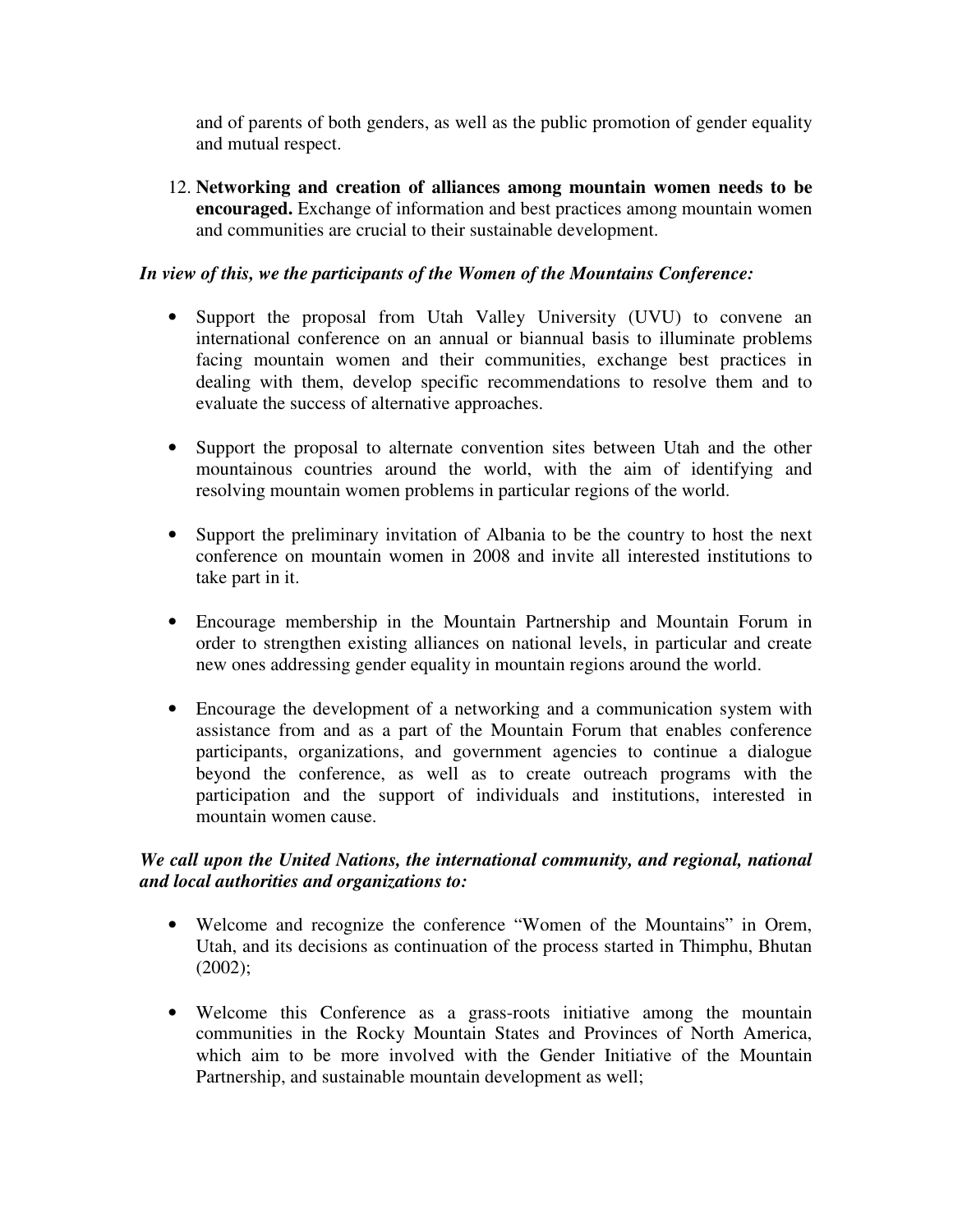and of parents of both genders, as well as the public promotion of gender equality and mutual respect.

12. **Networking and creation of alliances among mountain women needs to be encouraged.** Exchange of information and best practices among mountain women and communities are crucial to their sustainable development.

## *In view of this, we the participants of the Women of the Mountains Conference:*

- Support the proposal from Utah Valley University (UVU) to convene an international conference on an annual or biannual basis to illuminate problems facing mountain women and their communities, exchange best practices in dealing with them, develop specific recommendations to resolve them and to evaluate the success of alternative approaches.
- Support the proposal to alternate convention sites between Utah and the other mountainous countries around the world, with the aim of identifying and resolving mountain women problems in particular regions of the world.
- Support the preliminary invitation of Albania to be the country to host the next conference on mountain women in 2008 and invite all interested institutions to take part in it.
- Encourage membership in the Mountain Partnership and Mountain Forum in order to strengthen existing alliances on national levels, in particular and create new ones addressing gender equality in mountain regions around the world.
- Encourage the development of a networking and a communication system with assistance from and as a part of the Mountain Forum that enables conference participants, organizations, and government agencies to continue a dialogue beyond the conference, as well as to create outreach programs with the participation and the support of individuals and institutions, interested in mountain women cause.

## *We call upon the United Nations, the international community, and regional, national and local authorities and organizations to:*

- Welcome and recognize the conference "Women of the Mountains" in Orem, Utah, and its decisions as continuation of the process started in Thimphu, Bhutan (2002);
- Welcome this Conference as a grass-roots initiative among the mountain communities in the Rocky Mountain States and Provinces of North America, which aim to be more involved with the Gender Initiative of the Mountain Partnership, and sustainable mountain development as well;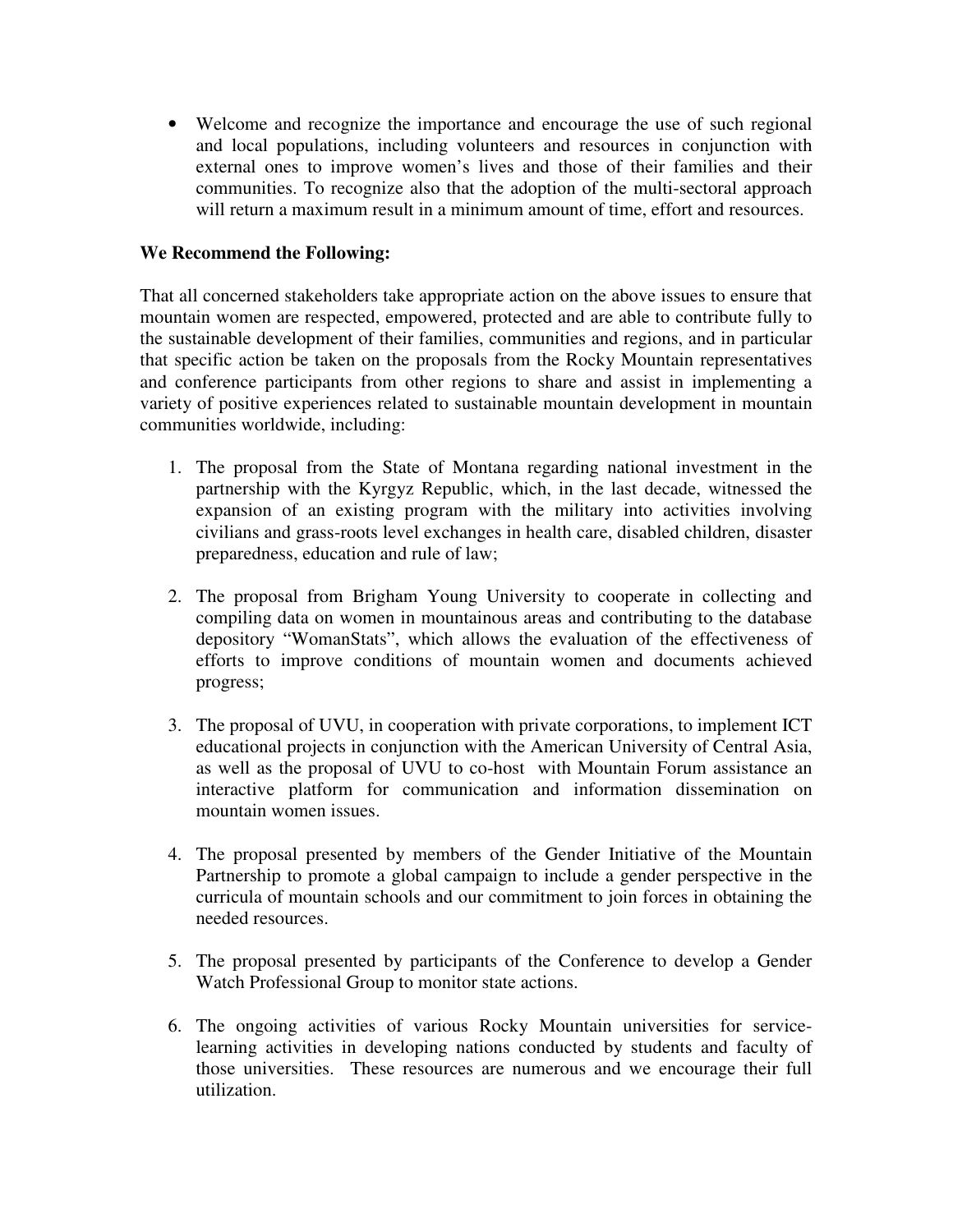• Welcome and recognize the importance and encourage the use of such regional and local populations, including volunteers and resources in conjunction with external ones to improve women's lives and those of their families and their communities. To recognize also that the adoption of the multi-sectoral approach will return a maximum result in a minimum amount of time, effort and resources.

## **We Recommend the Following:**

That all concerned stakeholders take appropriate action on the above issues to ensure that mountain women are respected, empowered, protected and are able to contribute fully to the sustainable development of their families, communities and regions, and in particular that specific action be taken on the proposals from the Rocky Mountain representatives and conference participants from other regions to share and assist in implementing a variety of positive experiences related to sustainable mountain development in mountain communities worldwide, including:

- 1. The proposal from the State of Montana regarding national investment in the partnership with the Kyrgyz Republic, which, in the last decade, witnessed the expansion of an existing program with the military into activities involving civilians and grass-roots level exchanges in health care, disabled children, disaster preparedness, education and rule of law;
- 2. The proposal from Brigham Young University to cooperate in collecting and compiling data on women in mountainous areas and contributing to the database depository "WomanStats", which allows the evaluation of the effectiveness of efforts to improve conditions of mountain women and documents achieved progress;
- 3. The proposal of UVU, in cooperation with private corporations, to implement ICT educational projects in conjunction with the American University of Central Asia, as well as the proposal of UVU to co-host with Mountain Forum assistance an interactive platform for communication and information dissemination on mountain women issues.
- 4. The proposal presented by members of the Gender Initiative of the Mountain Partnership to promote a global campaign to include a gender perspective in the curricula of mountain schools and our commitment to join forces in obtaining the needed resources.
- 5. The proposal presented by participants of the Conference to develop a Gender Watch Professional Group to monitor state actions.
- 6. The ongoing activities of various Rocky Mountain universities for servicelearning activities in developing nations conducted by students and faculty of those universities. These resources are numerous and we encourage their full utilization.